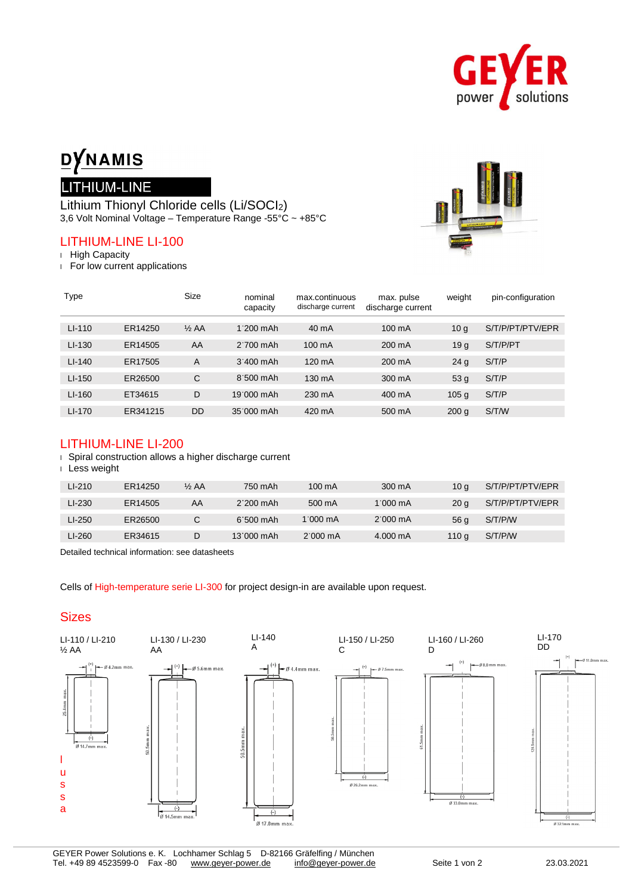

# DYNAMIS

# LITHIUM-LINE

Lithium Thionyl Chloride cells (Li/SOCI2) 3,6 Volt Nominal Voltage – Temperature Range -55°C ~ +85°C

# LITHIUM-LINE LI-100

<sup>l</sup> High Capacity

<sup>l</sup> For low current applications



| Type     |          | <b>Size</b>      | nominal<br>capacity | max.continuous<br>discharge current | max. pulse<br>discharge current | weight           | pin-configuration |
|----------|----------|------------------|---------------------|-------------------------------------|---------------------------------|------------------|-------------------|
| $LI-110$ | ER14250  | $\frac{1}{2}$ AA | $1.200$ mAh         | 40 mA                               | 100 mA                          | 10 <sub>g</sub>  | S/T/P/PT/PTV/EPR  |
| $LI-130$ | ER14505  | AA               | $2'700$ mAh         | 100 mA                              | $200 \text{ mA}$                | 19 <sub>g</sub>  | S/T/P/PT          |
| $LI-140$ | ER17505  | A                | $3'400$ mAh         | $120 \text{ mA}$                    | $200 \text{ mA}$                | 24 <sub>g</sub>  | S/T/P             |
| $LI-150$ | ER26500  | C                | $8:500$ mAh         | 130 mA                              | 300 mA                          | 53 <sub>g</sub>  | S/T/P             |
| $LI-160$ | ET34615  | D                | 19:000 mAh          | 230 mA                              | 400 mA                          | 105 <sub>g</sub> | S/T/P             |
| $LI-170$ | ER341215 | DD               | 35'000 mAh          | 420 mA                              | 500 mA                          | 200q             | S/T/W             |

# LITHIUM-LINE LI-200

<sup>l</sup> Spiral construction allows a higher discharge current

#### <sup>l</sup> Less weight

| $LI-210$ | ER14250 | $\frac{1}{2}$ AA | 750 mAh     | $100 \text{ mA}$   | 300 mA             |                 | S/T/P/PT/PTV/EPR |
|----------|---------|------------------|-------------|--------------------|--------------------|-----------------|------------------|
|          |         |                  |             |                    |                    | 10 g            |                  |
| LI-230   | ER14505 | AA               | $2'200$ mAh | 500 mA             | $1.000 \text{ mA}$ | 20 <sub>a</sub> | S/T/P/PT/PTV/EPR |
| LI-250   | ER26500 | C                | $6.500$ mAh | 1.000 $mA$         | $2.000 \text{ mA}$ | 56 g            | S/T/P/W          |
|          |         |                  |             |                    |                    |                 |                  |
| LI-260   | ER34615 | D                | 13'000 mAh  | $2.000 \text{ mA}$ | $4.000 \text{ mA}$ | 110 g           | S/T/P/W          |
|          |         |                  |             |                    |                    |                 |                  |

Detailed technical information: see datasheets

Cells of High-temperature serie LI-300 for project design-in are available upon request.

# **Sizes**

 $\overline{a}$